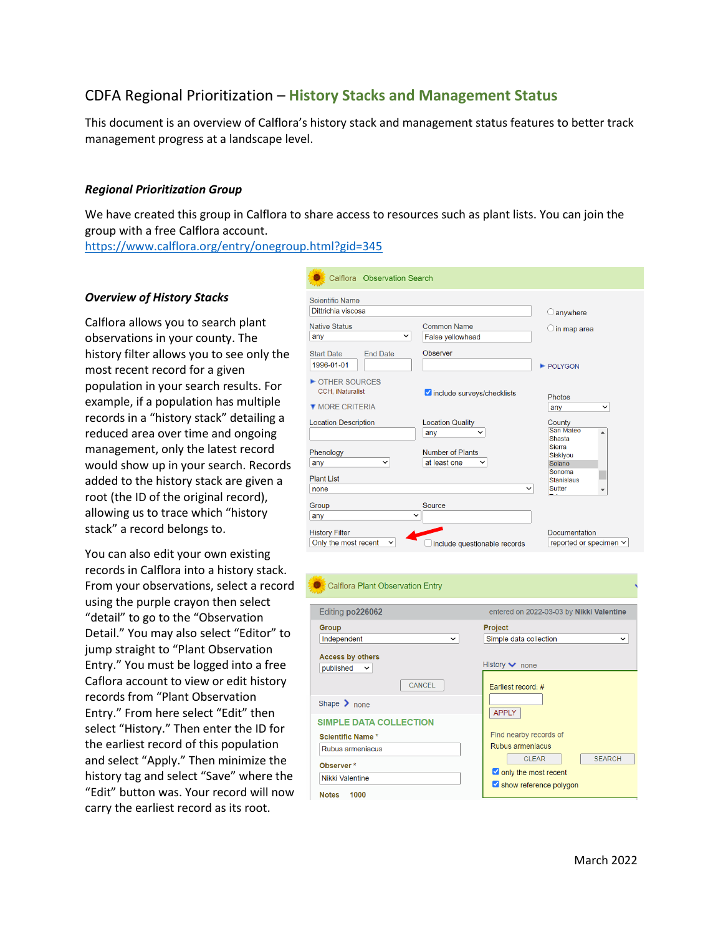# CDFA Regional Prioritization – **History Stacks and Management Status**

This document is an overview of Calflora's history stack and management status features to better track management progress at a landscape level.

# *Regional Prioritization Group*

We have created this group in Calflora to share access to resources such as plant lists. You can join the group with a free Calflora account.

<https://www.calflora.org/entry/onegroup.html?gid=345>

### *Overview of History Stacks*

Calflora allows you to search plant observations in your county. The history filter allows you to see only the most recent record for a given population in your search results. For example, if a population has multiple records in a "history stack" detailing a reduced area over time and ongoing management, only the latest record would show up in your search. Records added to the history stack are given a root (the ID of the original record), allowing us to trace which "history stack" a record belongs to.

You can also edit your own existing records in Calflora into a history stack. From your observations, select a record using the purple crayon then select "detail" to go to the "Observation Detail." You may also select "Editor" to jump straight to "Plant Observation Entry." You must be logged into a free Caflora account to view or edit history records from "Plant Observation Entry." From here select "Edit" then select "History." Then enter the ID for the earliest record of this population and select "Apply." Then minimize the history tag and select "Save" where the "Edit" button was. Your record will now carry the earliest record as its root.

| Calflora Observation Search                                  |                                                 |                                               |
|--------------------------------------------------------------|-------------------------------------------------|-----------------------------------------------|
| <b>Scientific Name</b><br>Dittrichia viscosa                 |                                                 | anywhere                                      |
| <b>Native Status</b><br>◡<br>any                             | <b>Common Name</b><br>False yellowhead          | in map area                                   |
| <b>Start Date</b><br><b>End Date</b><br>1996-01-01           | <b>Observer</b>                                 | POLYGON                                       |
| OTHER SOURCES<br>CCH, iNaturalist<br><b>T MORE CRITERIA</b>  | include surveys/checklists                      | <b>Photos</b><br>$\check{ }$<br>any           |
| <b>Location Description</b>                                  | <b>Location Quality</b><br>any<br>$\check{ }$   | County<br>San Mateo<br><b>Shasta</b>          |
| Phenology<br>any<br>$\check{ }$                              | Number of Plants<br>at least one<br>$\check{ }$ | <b>Sierra</b><br>Siskiyou<br>Solano<br>Sonoma |
| <b>Plant List</b><br>none                                    | $\checkmark$                                    | <b>Stanislaus</b><br><b>Sutter</b>            |
| Group<br>any<br>$\checkmark$                                 | Source                                          |                                               |
| <b>History Filter</b><br>Only the most recent<br>$\check{ }$ | include questionable records                    | Documentation<br>reported or specimen ∨       |

#### Calflora Plant Observation Entry